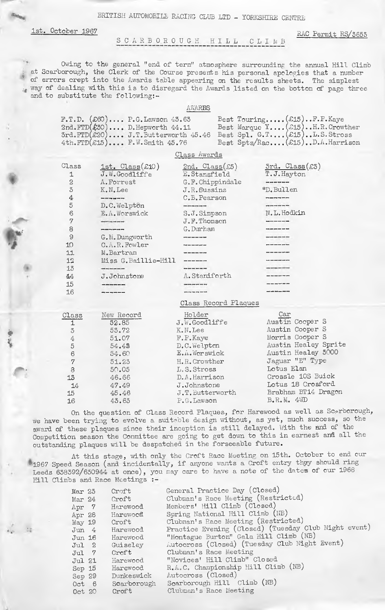RAC Permit RS/3655

## 1st. October 1967

»

*¥*

 $\mathbf{H}$ 

SCARBOROUGH HILL CLIMB

Owing to the general "end of term" atmosphere surrounding the annual Hill Climb at Scarborough, the Clerk of the Course presents his personal apologies that a number of errors crept into the Awards table appearing on the results sheets. The simplest <sup>14</sup> way of dealing with this is to disregard the Awards listed on the bottom of page three and to substitute the following:-

## AWARDS

|  | $F.T.D.$ $(\pounds 60)$ $P.G.Lawson$ 43.63               | Best $Touring(£15)F.F.Kaye$ |                                                      |
|--|----------------------------------------------------------|-----------------------------|------------------------------------------------------|
|  | $2nd.FTD(\pounds30) \ldots$ D. Hepworth 44.11            |                             | Best Marque $Y_{\cdot\cdot\cdot}$ (£15)H.R. Crowther |
|  | $3rd.FID(\pounds20) \ldots$ J.T.Butterworth 45.46        |                             | Best Spl. $G.T$ $(£15)L.S.$ Stross                   |
|  | $4th.\texttt{FTD}(\pounds15) \ldots$ . F.W.Smith $45.76$ |                             | Best Spts/Rac (£15)D.A.Harrison                      |

| Class<br>1<br>$\overline{2}$<br>3<br>$\overline{4}$<br>$\overline{5}$<br>6<br>7<br>8<br>9<br>10<br>11<br>12 | 1st. $Class(E10)$<br>J.W.Goodliffe<br>A.Forrest<br>K.N.Lee<br>West party and gap meet week<br>D.C.Welptôn<br>E.A.Worswick<br>G.M.Dungworth<br>C.A.R.Fowler<br>M.Bartram<br>Miss G. Baillie-Hill | Class Awards<br>2nd. Class(5)<br>E.Stansfield<br>G.F.Chippindale<br>J.R.Sussins<br>C.B. Pearson<br>S.J.Simpson<br>J.F. Thomson<br>G. Durham | $3rd. Class(23)$<br>T.J.Hayton<br>*D.Bullen<br>N.L. Hodkin |
|-------------------------------------------------------------------------------------------------------------|-------------------------------------------------------------------------------------------------------------------------------------------------------------------------------------------------|---------------------------------------------------------------------------------------------------------------------------------------------|------------------------------------------------------------|
| 13<br>44<br>15                                                                                              | ----------<br>$J$ . Johnstone                                                                                                                                                                   | A. Staniforth                                                                                                                               |                                                            |
| 16                                                                                                          |                                                                                                                                                                                                 | Class Record Plaques                                                                                                                        |                                                            |
| Class                                                                                                       | New Record<br>52.85                                                                                                                                                                             | Holder<br>$J$ . W. Goodliffe                                                                                                                | Car<br>Austin Cooper S<br>$\sim$ $\sim$                    |

|    | 52.85 | J.W. Goodlife    | Austin Cooper S      |
|----|-------|------------------|----------------------|
| 3  | 53.72 | K.N.Lee          | Austin Cooper S      |
| 4  | 51.07 | F.P.Kaye         | Morris Cooper S      |
| 5  | 54.43 | D.C.Welpton      | Austin Healey Sprite |
| 6  | 54.60 | E.A.Worswick     | Austin Healey 5000   |
| 7  | 51.23 | H.R. Crowther    | Jaguar "E" Type      |
| 8  | 50.05 | L.S.Stross       | Lotus Elan           |
| 13 | 46.66 | D.A. Harrison    | Crossle 10S Buick    |
| 14 | 47.49 | J.Johnstone      | Lotus 18 Crosford    |
| 15 | 45.46 | J.T. Butterworth | Brabham BT14 Dragon  |
| 16 | 43.63 | P.G.Lawson       | <b>B.R.M. 4WD</b>    |
|    |       |                  |                      |

On the question of Class Record Plaques, for Harewood as well as Scerborough, we have been trying to evolve a suitable design without, as yet, much success, so the award of these plaques since their inception is still delayed. With the and of the Competition season the Committee are going to get dovm to this in earnest and all the outstanding plaques will be despatched in the forseeable future.

At this stage, with only the Croft Race Meeting on 15th. October to end our \*1967 Speed Season (and incidentally, if anyone wants a Croft entry thgy should ring Leeds 638392/650944 at once), you may care to have a note of the dates of our 1968 Hill Climbs and Race Meetings :-

| Mar 23     | Croft       | General Practice Day (Closed)                        |
|------------|-------------|------------------------------------------------------|
| Mar 24     | Croft       | Clubman's Race Meeting (Restricted)                  |
| Apr 7      | Harewood    | Members' Hill Climb (Closed)                         |
| Apr 28     | Harewoof    | Spring National Hill Climb (NB)                      |
| May 19     | Croft       | Clubman's Race Meeting (Restricted)                  |
| Jun 4      | Harewood    | Practice Evening (Closed) (Tuesday Club Night event) |
| Jun 16     | Harewood    | "Montague Burton" Gala Hill Climb (NB)               |
| Jul 2      | Guiseley    | Autocross (Closed) (Tuesday Club Night Event)        |
| $Jul$ 7    | Croft       | Clubman's Race Meeting                               |
| $Ju1$ $21$ | Harewood    | "Novices' Hill Climb" Closed                         |
| Sep 15     | Harewood    | R.A.C. Championship Hill Climb (NB)                  |
| Sep 29     | Dunkeswick  | Autocross (Closed)                                   |
| Oct 6      | Scarborough | Scarborough Hill Climb (NB)                          |
| Oct 20     | Croft       | Clubman's Race Meeting                               |
|            |             |                                                      |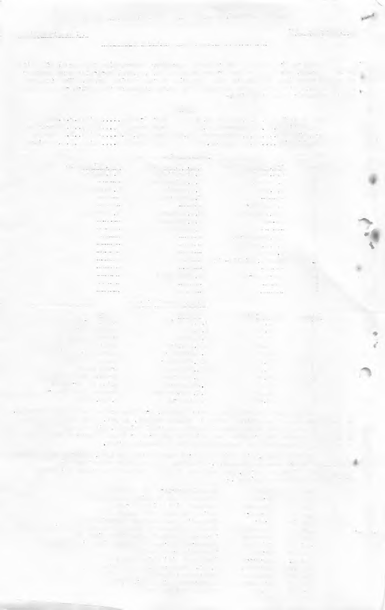$\mathcal{L} = \mathcal{L} = \mathcal{L} = \mathcal{L}$ 

المداور وواديا والمنافي الدائر المواطن والمتفق والتاريخ

a service in the service of the  $\frac{1}{\sqrt{2}}\left(\frac{1}{\sqrt{2}}\frac{\partial \phi}{\partial x}\right)^{-1}=\frac{1}{2}\left(\frac{1}{\sqrt{2}}\frac{\partial \phi}{\partial x}\right)^{-1}=\frac{1}{2}\left(\frac{1}{\sqrt{2}}\frac{\partial \phi}{\partial x}\right)^{-1}=\frac{1}{2}\left(\frac{1}{\sqrt{2}}\frac{\partial \phi}{\partial x}\right)^{-1}=\frac{1}{2}\left(\frac{1}{\sqrt{2}}\frac{\partial \phi}{\partial x}\right)^{-1}=\frac{1}{2}\left(\frac{1}{\sqrt{2}}\frac{\partial \phi}{\partial x}\right)^{-1}=\frac{1}{2}\left(\frac{1$ the sealed the same of the sealed the ÷. ina Penang  $\mathcal{F}^{(2)}\stackrel{\triangle}{=} \mathcal{F}^{(2)}\stackrel{\triangle}{=}$  $-10^{-7}$  $\frac{1}{2}$  ,  $\frac{1}{2}$  ,  $\frac{1}{2}$  $\mathcal{N} \rightarrow \mathcal{N}$  $\frac{1}{2} \left( \begin{array}{cc} 0 & 0 \\ 0 & 0 \end{array} \right)$  $\begin{array}{ccc} 1 & 2 \end{array}$  $\sim$   $\sim$   $\sim$ en sin in  $-100 - 100$  $\sim$   $\sim$  $\mathbf{r}$  and  $\mathbf{r}$  $\mathbb{Z}$ contractors.  $\sim$   $\sim$   $\sim$  $\label{eq:3.1} \begin{array}{lllll} \alpha_{11} & \alpha_{21} & \cdots & \alpha_{N-1} \end{array}$  $\min = \lfloor \alpha \rfloor$  . missions in  $\sim 10-14$  km **College Street REGION All State** ideal ... **Service Controller** ale concert ...  $114 - 165$  $\mathcal{R}_1 = \{ \mathbf{a}_1, \ldots, \mathbf{a}_n \}$  $\sim$   $\sim$ ووراوون ووادوه  $\sim$   $\sim$  $\label{eq:1} \begin{array}{lllllllllll} \begin{array}{lllllllllllllllllll} \alpha_{11} & \alpha_{22} & \alpha_{33} \end{array} \end{array}$  $77 - 1 - 17$  $\sim 1.4$  ).  $\sim$   $\sim$ inte pareira ansas - La  $\label{eq:4} \begin{array}{lll} \mathcal{U} & = & \mathcal{U} \end{array}$  $\mu = \mu^2$ o.  $\sim$   $\sim$  $\sim$   $\,$   $\,$   $\,$  $\mathcal{O}(\mathcal{O}_\mathcal{C})$  $\mathbb{R}^{2\log n}$  ,  $\mathbb{R}_{\geq 0}$ ×  $\sim$  $\sim$   $\sim$ **Contract Contract Contract** 

 $\frac{1}{2} \left( \frac{1}{2} \right) \left( \frac{1}{2} \right) \left( \frac{1}{2} \right) \left( \frac{1}{2} \right)$  $\sim$   $\sim$   $\sim$ 

that a series of the company of the company of the company of the company of the company of the company of the company of the company of the company of the company of the company of the company of the company of the company of the company of the company of the company

**Common Construction Common**  $\label{eq:2.1} \frac{1}{\sqrt{2}}\left(\frac{1}{\sqrt{2}}\right)^2\left(\frac{1}{2}\right)^2\left(\frac{1}{2}\right)^2\left(\frac{1}{2}\right)^2\left(\frac{1}{2}\right)^2.$  $\label{eq:1.1} \mathcal{H}_{\text{max}} = \mathcal{H}_{\text{max}} + \mathcal{H}_{\text{max}}$ 

and the contract of the contract of and the state of the state of the  $\mathcal{L}(\mathcal{A})$  and  $\mathcal{A}(\mathcal{A})$  and  $\mathcal{A}(\mathcal{A})$ 

 $\mathcal{L}$ 

 $\label{eq:2.1} \begin{array}{ccc} \mathbb{E}^{\frac{1}{2}}\left(\mathbb{E}^{\frac{1}{2}}\right) & \mathbb{E}^{\frac{1}{2}}\left(\mathbb{E}^{\frac{1}{2}}\right) & \mathbb{E}^{\frac{1}{2}}\left(\mathbb{E}^{\frac{1}{2}}\right) \end{array}$ 

 $\sim$   $\sim$  $\begin{array}{ccccc}\n\bullet & & \circ & & \circ\end{array}$  $\epsilon$  .

 $\sim 10^{-11}$  .  $\sim 10^{-1}$  $\mathcal{A}^{\mathcal{M}}(t)$  ,  $\mathcal{D}^{\mathcal{M}}(t)$  $\overline{1}$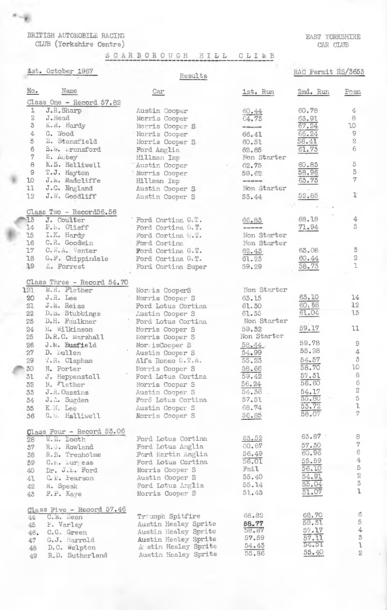BRITISH AUTOMOBILE RACING CLUB (Yorkshire Centre)

69

## SCARBOROUGH HILL CLIMB

|                                                              | &st. October 1967                                                                                                                                                   | Results                                                                                                                                                                                           |                                                                                         | RAC Permit RS/3655                                                                      |                                                                                  |
|--------------------------------------------------------------|---------------------------------------------------------------------------------------------------------------------------------------------------------------------|---------------------------------------------------------------------------------------------------------------------------------------------------------------------------------------------------|-----------------------------------------------------------------------------------------|-----------------------------------------------------------------------------------------|----------------------------------------------------------------------------------|
| No.                                                          | Name                                                                                                                                                                | Car                                                                                                                                                                                               | 1st. Run                                                                                | 2nd. Run                                                                                | Posn                                                                             |
|                                                              | Class One - Record 57.82                                                                                                                                            |                                                                                                                                                                                                   |                                                                                         |                                                                                         |                                                                                  |
| 1<br>$\,2$<br>$\mathbbmss{5}$<br>4<br>5<br>6                 | J.R. Sharp<br>J. Mead<br>K.R. Hardy<br>G. Wood<br>E. Stansfield<br>S.W. ransford                                                                                    | Austin Cooper<br>Morris Cooper<br>Morris Cooper S<br>Morris Cooper<br>Morris Cooper S<br>Ford Anglia                                                                                              | 60.44<br>64.73<br>------<br>66.41<br>60.51<br>62.85                                     | 60.78<br>63.91<br>67.24<br>66.24<br>58.41<br>61.73                                      | 4<br>8<br>ιo<br>9<br>$\!2$<br>6                                                  |
| $\boldsymbol{7}$<br>8<br>9<br>10<br>11                       | B. Abbey<br>K.S. Helliwell<br>T.J. Hayton<br>J.m. Radcliffe<br>J.C. England                                                                                         | Hillman Imp<br>Austin Cooper<br>Morris Cooper<br>Hillman Imp<br>Austin Cooper S                                                                                                                   | 62.75<br>59.62<br>------                                                                | Non Starter<br>60.83<br>58.96<br>63.75<br>Non Starter                                   | 5<br>3<br>7                                                                      |
| 12                                                           | J.W. Goodliff                                                                                                                                                       | Austin Cooper S                                                                                                                                                                                   | 53.44                                                                                   | 52.85                                                                                   | ľ                                                                                |
|                                                              | Class Two - Record56.56                                                                                                                                             |                                                                                                                                                                                                   |                                                                                         |                                                                                         |                                                                                  |
| $\bar{1}3$<br>14<br>15<br>16<br>17 <sup>°</sup>              | J. Coulter<br>P.M. Olieff<br>I.K. Hardy<br>C.R. Goodwin<br>C. W.A. Venter                                                                                           | Ford Cortina G.T.<br>Ford Cortina G.T.<br>Ford Cortina (.T.<br>Ford Cortina<br>Ford Cortina G.T.                                                                                                  | 66.83<br>62.43                                                                          | 68.18<br>71.94<br>Non Starter<br>Non Starter<br>63.08                                   | 4<br>5<br>3                                                                      |
| 18<br>19                                                     | G.F. Chippindale<br>A. Forrest                                                                                                                                      | Ford Cortina G.T.<br>Ford Cortina Super                                                                                                                                                           | 61.23<br>59.29                                                                          | 60.44<br>58.73                                                                          | $\mathbf 2$<br>Ĩ.                                                                |
|                                                              | Class Three - Record 54.70                                                                                                                                          |                                                                                                                                                                                                   |                                                                                         |                                                                                         |                                                                                  |
| 121<br>20<br>21<br>22                                        | M.R. Flather<br>J.R. Lee<br>J.M. Reiss<br>D.S. Stubbings                                                                                                            | Morris CooperS<br>Morris Cooper S<br>Ford Lotus Cortina<br>Austin Cooper S                                                                                                                        | 63.15<br>61.30<br>61.35                                                                 | Non Starter<br>63.10<br>60, 58<br>61.04                                                 | 14<br>12 <sub>1</sub><br>13                                                      |
| 25<br>24<br>25                                               | D.H. Faulkner<br>R. Wilkinson<br>D.R.C. Marshall                                                                                                                    | Ford Lotus Cortina<br>Morris Cooper S<br>Morris Cooper S                                                                                                                                          | 59.32<br>Non Starter                                                                    | Non Starter<br>59.17                                                                    | 11                                                                               |
| 26<br>27<br>$29\,$<br>30<br>31<br>32<br>33<br>34<br>35<br>36 | J.M. Busfield<br>D. bullen<br>T.R. Clapham<br>N. Porter<br>J. Heppenstall<br>M. Flather<br>J.R. Cussins<br>J.A. Sugden<br>K.N. Lee<br>G.W. Halliwell                | MorxisCooper S<br>Austin Cooper S<br>Alfa Romeo G.T.A.<br>Morris Cooper S<br>Ford Lotus Cortina<br>Morris Cooper S<br>Austin Cooper S<br>Ford Lotus Cortina<br>Austin Cooper S<br>Morris Cooper S | 58.44<br>54.99<br>55.23<br>58.66<br>59.42<br>56.24<br>54.56.<br>57.51<br>68.74<br>56.85 | 59.78<br>55.28<br>54.57<br>58.70<br>57.31<br>56.60<br>.54.17<br>55.80<br>53,72<br>58.07 | 9<br>4<br>$\mathbbm{S}$<br>10.<br>8<br>$\,6\,$<br>$\,2$<br>$\mathbf 5$<br>ı<br>7 |
| 28<br>37<br>38<br>39<br>40<br>41<br>42<br>43                 | Class Four - Record 53.06<br>$\overline{W}$ . E. Booth<br>R.G. Rowland<br>R.B. Trenholme<br>C.m. Luress<br>Dr. J.L. Ford<br>C.L. Pearson<br>R. Speak<br>$F.P.$ Kaye | Ford Lotus Cortina<br>Ford Lotus Anglia<br>Ford Martin Anglia<br>Ford Lotus Cortina<br>Morris Cooper S<br>Austin Cooper S<br>Ford Lotus Anglia<br>Morris Cooper S                                 | 63.52<br>60.67<br>56.49<br>56.01<br>Fail<br>55.40<br>55.14<br>51.43                     | 63.87<br>57.30<br>60.96<br>55.59<br>56.10<br>54.91<br>55.04<br>51.07                    | 8<br>7<br>6<br>4<br>$\mathbf 5$<br>$\rm{2}$<br>$\mathbb S$<br>$\mathbf 1$        |
| 44<br>45<br>46.<br>47<br>48<br>49                            | Class Five - Record 57.46<br>C.E. Bean<br>P. Varley<br>C.G. Green<br>G.J. Harrold<br>D.C. Welpton<br>R.D. Sutherland                                                | Triumph Spitfire<br>Austin Healey Sprite<br>Austin Healey Sprite<br>Austin Healey Sprite<br>Austin Healey Sprite<br>Austin Healey Sprite                                                          | 68.82<br>58.77<br>58.87<br>57.59<br>54.43<br>55.86                                      | 68.70<br>59.31<br>57.17<br>57.11<br>54.5L<br>55.40                                      | 6<br>$\mathbf 5$<br>4<br>$\mathbb S$<br>ı<br>$\mathbf 2$                         |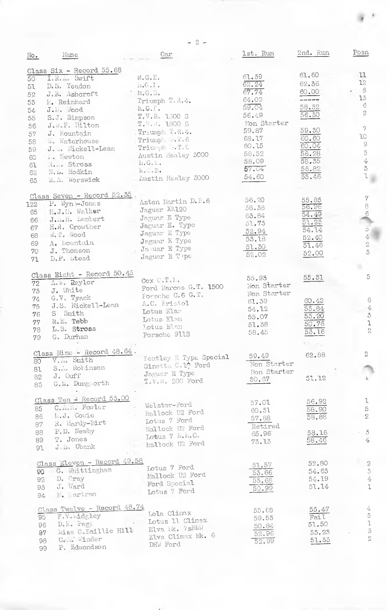| No.                   | Name                                                                                                                                                                                                                                                                                                                                                                                                                     | Car<br>mill often                   | lst. Run       | 2nd. Run            | Posn                                                          |
|-----------------------|--------------------------------------------------------------------------------------------------------------------------------------------------------------------------------------------------------------------------------------------------------------------------------------------------------------------------------------------------------------------------------------------------------------------------|-------------------------------------|----------------|---------------------|---------------------------------------------------------------|
|                       | Class Six - Record 55.68                                                                                                                                                                                                                                                                                                                                                                                                 |                                     |                | 61.60               | 11                                                            |
| $\overline{50}$       | I.R.A. Swift                                                                                                                                                                                                                                                                                                                                                                                                             | M.G.E.                              | 61.39          |                     | 12                                                            |
| 51                    | D.S. Yeadon                                                                                                                                                                                                                                                                                                                                                                                                              | $M_{\bullet}G_{\bullet}L_{\bullet}$ | 62.24          | 62.36               | 8 <sup>2</sup>                                                |
| 52                    | J.E. Ashcroft                                                                                                                                                                                                                                                                                                                                                                                                            | $^{\prime}$ -M.G.B.                 | 67.74          | 60.00               | 13                                                            |
| 53                    | M. Reinhard                                                                                                                                                                                                                                                                                                                                                                                                              | Triumph T.R.4.                      | 64.02          |                     | 6                                                             |
| 54                    | $J.E.$ $Iood$                                                                                                                                                                                                                                                                                                                                                                                                            | $M_{*}G_{*}\Gamma_{*}$              | 59.04          | 58.32               | $\bar{z}$                                                     |
| 55                    | S.J. Simpson                                                                                                                                                                                                                                                                                                                                                                                                             | T.V.R. 1800 S                       | 56.49          | 56.50               |                                                               |
| 56                    | J.W.P. Hilton                                                                                                                                                                                                                                                                                                                                                                                                            | T.V.R. 1800 S                       | Non Starter    |                     | 7                                                             |
| 57                    | J. Mountain                                                                                                                                                                                                                                                                                                                                                                                                              | . Triumph T.R. 4.                   | 59.87          | 59.30               | $10\,$                                                        |
| 58                    | W. Waterhouse                                                                                                                                                                                                                                                                                                                                                                                                            | . Triumph T.6                       | 68.17<br>60.15 | 60.60<br>60.04      | 9                                                             |
| 59                    | J.  Mickell-Lean                                                                                                                                                                                                                                                                                                                                                                                                         | Triumph - T.C                       | 58.52          | 58.28               | 5                                                             |
| 60                    | 1. Newton                                                                                                                                                                                                                                                                                                                                                                                                                | Austin Healey 3000                  | 58.09          | 58.35               | $\stackrel{\scriptscriptstyle\wedge}{\scriptscriptstyle\div}$ |
| 61                    | R.L. Stross                                                                                                                                                                                                                                                                                                                                                                                                              | $M_{*}G_{*}L_{*}$                   | 57.04          | 56.82               |                                                               |
| 62                    | N.L. Hodkin                                                                                                                                                                                                                                                                                                                                                                                                              | h.C.B.                              | 54.60          | 55.46               | $\frac{3}{1}$                                                 |
| 63                    | E.A. Worswick                                                                                                                                                                                                                                                                                                                                                                                                            | Lustin Healey 3000                  |                |                     |                                                               |
|                       | Class Seven - Record 52.35.                                                                                                                                                                                                                                                                                                                                                                                              |                                     |                |                     | 7                                                             |
| 122                   | P. Wynn-Jones                                                                                                                                                                                                                                                                                                                                                                                                            | Aston Lartin D. B. 6                | 56.20          | 55.85<br>56.96      |                                                               |
| 65                    | H.J.H. Walker                                                                                                                                                                                                                                                                                                                                                                                                            | Jaguar XK120                        | 58.38          | 54.49               | $\frac{8}{6}$                                                 |
| 66                    | J.m.H. Lambert                                                                                                                                                                                                                                                                                                                                                                                                           | Jaguar E Type                       | 63.84<br>51.75 | 51.25               |                                                               |
| 67                    | H.R. Crowther                                                                                                                                                                                                                                                                                                                                                                                                            | Jaguar E. Type                      |                | 54.14               | $\circ$                                                       |
| 68                    | W.T. Wood                                                                                                                                                                                                                                                                                                                                                                                                                | Jaguar E Type                       | 52.94<br>53.18 | 52.40               | $\frac{A}{\Delta}$                                            |
| 69                    | A. Mountain                                                                                                                                                                                                                                                                                                                                                                                                              | Jaguar E Type                       |                | 51.46               | $\overline{2}$                                                |
| 70                    | J. Thomson                                                                                                                                                                                                                                                                                                                                                                                                               | . Ja uar E Type                     | 51.30          | 52.00               | $\mathbb S$                                                   |
| 71                    | D.P. btead                                                                                                                                                                                                                                                                                                                                                                                                               | Jaguar E T'pe                       | 52.02          |                     |                                                               |
|                       |                                                                                                                                                                                                                                                                                                                                                                                                                          |                                     |                |                     |                                                               |
|                       | Class Eight - Record 50.45                                                                                                                                                                                                                                                                                                                                                                                               | Cox C.T.L.                          | 55.93          | 55.31               | 5                                                             |
| $\overline{72}$       | A. n. Raylor                                                                                                                                                                                                                                                                                                                                                                                                             | Ford Marcos G.T. 1500               | Non Starter    |                     |                                                               |
| 73                    | J. White                                                                                                                                                                                                                                                                                                                                                                                                                 | Forsche C.6 G.T.                    | Non Starter    |                     |                                                               |
| 74                    | G.V. Tyack                                                                                                                                                                                                                                                                                                                                                                                                               | A.C. Eristol                        | 61.39          | 60.42               | 6                                                             |
| 75                    | J.S. Nickell-Lean                                                                                                                                                                                                                                                                                                                                                                                                        | Lotus Elan                          | 54.12          | 55.84               | $\triangleq$                                                  |
| 76                    | S Smith                                                                                                                                                                                                                                                                                                                                                                                                                  | Lotus Elan                          | 55.07          | 53,20               | $\bar{5}$                                                     |
| 77                    | M.E. Tebb                                                                                                                                                                                                                                                                                                                                                                                                                | Lotus Elan                          | 51.38          | 50.76               | l                                                             |
| 78                    | L.S. Stross                                                                                                                                                                                                                                                                                                                                                                                                              | Porsche 911S                        | 58.45          | 53.16               | $\bar{2}$                                                     |
| 79                    | G. Durham                                                                                                                                                                                                                                                                                                                                                                                                                |                                     |                |                     |                                                               |
|                       | Class Nine - Record 48.64.                                                                                                                                                                                                                                                                                                                                                                                               |                                     |                | $X = -\pi_{\rm in}$ |                                                               |
|                       | 80 V.A. Smith                                                                                                                                                                                                                                                                                                                                                                                                            | Fentley R Type Special              | 59.49          | 62.88               | 2                                                             |
|                       | S.A. Robinson                                                                                                                                                                                                                                                                                                                                                                                                            | Ginetta G. L) Ford                  | Non Starter    |                     |                                                               |
| 81                    | J. Cuff                                                                                                                                                                                                                                                                                                                                                                                                                  | Jaguer E Type                       | Non Starter    |                     |                                                               |
| 82                    | G.M. Dung orth                                                                                                                                                                                                                                                                                                                                                                                                           | T.V.R. 200 Ford                     | 50.67          | 51,12               |                                                               |
| 83.                   | $\mathbf{A} = \mathbf{A} \mathbf{A} + \mathbf{A} \mathbf{A} + \mathbf{A} \mathbf{A} + \mathbf{A} \mathbf{A} + \mathbf{A} \mathbf{A} + \mathbf{A} \mathbf{A} + \mathbf{A} \mathbf{A} + \mathbf{A} \mathbf{A} + \mathbf{A} \mathbf{A} + \mathbf{A} \mathbf{A} + \mathbf{A} \mathbf{A} + \mathbf{A} \mathbf{A} + \mathbf{A} \mathbf{A} + \mathbf{A} \mathbf{A} + \mathbf{A} \mathbf{A} + \mathbf{A} \mathbf{A} + \mathbf{A$ |                                     |                |                     |                                                               |
|                       | Class Ten - Record 55.00                                                                                                                                                                                                                                                                                                                                                                                                 |                                     | 57.01          | 56.92               | l                                                             |
| 85                    | C.A.R. Fowler                                                                                                                                                                                                                                                                                                                                                                                                            | Welstor-Ford                        | 60.31          | 58.90               | 5                                                             |
| 86                    | L.J. Cowie                                                                                                                                                                                                                                                                                                                                                                                                               | Mallock U2 Ford                     | 57.88          | 58.88               | -2                                                            |
| 87                    | R. Hardy-Birt                                                                                                                                                                                                                                                                                                                                                                                                            | Lotus 7 Ford                        | Retired        |                     |                                                               |
| 88                    | $P.D.$ Newby                                                                                                                                                                                                                                                                                                                                                                                                             | Mallock U2 Ford                     | 65.96          | 58.16               | $\mathbbm{S}$                                                 |
| 89.                   | T. Jones                                                                                                                                                                                                                                                                                                                                                                                                                 | Lotus 7 B.M.C.                      | 73.15          | 58.46               | 4                                                             |
| 91                    | J.S. Obank                                                                                                                                                                                                                                                                                                                                                                                                               | Mallock U2 Ford                     |                |                     |                                                               |
|                       | Class Eleven - Record 49.58                                                                                                                                                                                                                                                                                                                                                                                              |                                     |                | 52.80               | $\sqrt{2}$                                                    |
|                       | G. Whittingham                                                                                                                                                                                                                                                                                                                                                                                                           | Lotus 7 Ford                        | 51.57          | 54.63               | $\mathbb S$                                                   |
| 90                    | D. Gray                                                                                                                                                                                                                                                                                                                                                                                                                  | Mallock U2 Ford                     | 53.66          | 54.19               | $\mathcal{A}$                                                 |
| 92 <sub>1</sub><br>93 | J. Ward                                                                                                                                                                                                                                                                                                                                                                                                                  | Ford Special                        | 55,68          | 51.14               | ı                                                             |
| 94                    | I. Tartran                                                                                                                                                                                                                                                                                                                                                                                                               | Lotus 7 Ford                        | 50.99          |                     |                                                               |
|                       |                                                                                                                                                                                                                                                                                                                                                                                                                          |                                     |                |                     |                                                               |
|                       | Class Twelve - Record 48.74                                                                                                                                                                                                                                                                                                                                                                                              | Lola Clinax                         | 55.68          | 55.47               | 4                                                             |
| 95                    | F.V. Lidgley                                                                                                                                                                                                                                                                                                                                                                                                             | Lotus 11 Climax                     | 59.53          | Fail                | $\overline{5}$<br>l                                           |
| 96                    | D.K. Pega                                                                                                                                                                                                                                                                                                                                                                                                                | Elva ik. 7sBMW                      | 50.84          | 51.50               |                                                               |
| 97                    | Miss G. Baillie Hill                                                                                                                                                                                                                                                                                                                                                                                                     | Elva Climax Mk. 6                   | 52.96          | 55.23               | $\mathbb S$<br>$\bar{2}$                                      |
| 98                    | C. Winder<br>P. Edmondson                                                                                                                                                                                                                                                                                                                                                                                                | DRW Ford                            | 52.99          | 51.53               |                                                               |
|                       | 99                                                                                                                                                                                                                                                                                                                                                                                                                       |                                     |                |                     |                                                               |

 $-2-$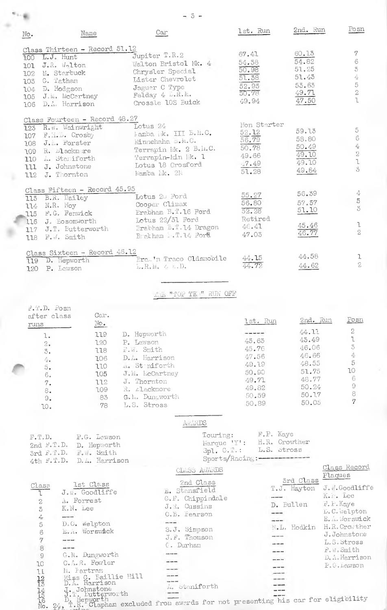|                  |                                                                                                                                                                               | $-3-$                                                                                                                                     |                                                                     |                                                             |                                                                    |
|------------------|-------------------------------------------------------------------------------------------------------------------------------------------------------------------------------|-------------------------------------------------------------------------------------------------------------------------------------------|---------------------------------------------------------------------|-------------------------------------------------------------|--------------------------------------------------------------------|
| No.              | Name                                                                                                                                                                          | Car                                                                                                                                       | lst. Run                                                            | 2nd. Run                                                    | Posn                                                               |
| $\overline{100}$ | Class Thirteen - Record 51.12<br>$L, J$ . Hunt<br>101 J.R. Walton<br>102 M. Starbuck<br>103 G. Tatham<br>104 D. Hodgson<br>105 J.W. NicCartney<br>106 D.A. Harrison           | Jupiter T.R.2<br>Walton Bristol Mk. 4<br>Chrysler Special<br>Lister Chevrolet<br>Jaguar C Type<br>Felday 4 L.R.M.<br>Crossle 10S Buick    | 67.41<br>54.58<br>50.98<br>51.38<br>52.93<br>50.78<br>49.94         | 60.13<br>54.82<br>51.25<br>51.43<br>53.63<br>49.71<br>47.50 | 7<br>6<br>$\mathbb S$<br>$\frac{\hat{c}_1^2}{2}$<br>5<br>$\bar{2}$ |
|                  | Class Fourteen - Record 48.27<br>123 R.W. Wainwright<br>107 F.H.D. Crosby<br>108 J.m. Forster<br>109 R. Dlackmure<br>110 A. Staniforth<br>111 J. Johnstone<br>112 J. Thornton | Lotus 24<br>Mamba ik. III B.M.C.<br>Minnehaha . M.C.<br>Terrapin Mk. 2 B. L.C.<br>Terrapin-Min Ek. 1<br>Lotus 18 Crosford<br>Mamba hk. 2M | Non Starter<br>52.12<br>56.79<br>50.78<br>49.66<br>$-7.49$<br>51.28 | 59.13<br>58.80<br>50.49<br>49.10<br>49.10<br>49.84          | 5<br>6<br>$\stackrel{A}{\pm}$<br>$\bar{2}$<br>ľ<br>$\overline{3}$  |
|                  | Class Fifteen - Record 45.95<br>113 B.R. Bailey<br>114 N.R. Noy<br>115 F.G. Fenwick<br>116 J. Eosomworth<br>117 J.T. Eutterworth<br>118 F.W. Smith                            | Lotus 20 Ford<br>Cooper Climax<br>Erabham B.T.16 Ford<br>Lotus 22/31 Ford<br>Erabham B.T.14 Dragon<br>Bratham 1.T.14 Fort                 | 55.27<br>56.80<br>52.28<br>Retired<br>46.41<br>47.03                | 56.39<br>57.37<br>51.10<br>45.46<br>46.77                   | 4<br>$\,$ 5 $\,$<br>$\bar{5}$<br>$\overline{2}$                    |
| 119<br>120       | Class Sixteen - Record 46.12<br>D. Hepworth<br>P. Lewson                                                                                                                      | Era.'n Traco Oldsmobile<br>L.R.M. 4 M.D.                                                                                                  | 44.15<br>44.72                                                      | 44.58<br>44.62                                              | 1<br>2                                                             |

٠

ALE "TOP TE " RUN OFF

| F.T.D. Posn                                               |                                                                  |                                                                                                                                                                |                                                                               |                                                                                        |                                            |
|-----------------------------------------------------------|------------------------------------------------------------------|----------------------------------------------------------------------------------------------------------------------------------------------------------------|-------------------------------------------------------------------------------|----------------------------------------------------------------------------------------|--------------------------------------------|
| after class<br>runs                                       | Car.<br>$\underline{\text{No}}$ .                                |                                                                                                                                                                | lst. Run                                                                      | 2nd. Run                                                                               | Posn                                       |
| l.<br>2.<br>3.<br>4.<br>5.<br>6.<br>7.<br>8.<br>9.<br>lΟ. | 119<br>120<br>118<br>106<br>110<br>105<br>112<br>109<br>83<br>78 | D. Hepworth<br>P. Lawson<br>F.W. Smith<br>D.A. Harrison<br>St niforth<br>J.M. LeCartney<br>J. Thornton<br>R. <i>Elackmore</i><br>G.M. Dungworth<br>L.S. Stross | 43.63<br>45.76<br>47.56<br>49.19<br>50.90<br>49.71<br>49.82<br>50.59<br>50.89 | 44.11<br>43.49<br>46.06<br>46.66<br>48.55<br>51.75<br>48.77<br>50.24<br>50.17<br>50.05 | 2<br>3<br>4<br>5<br>10<br>6<br>9<br>8<br>7 |

## AWARDS

| F.T.D.<br>2nd $F.T.D.$<br>$5rd$ $F.T.D.$<br>4th F.T.D.                                                                                                                                                                                       | P.G. Lawson<br>D. Hepworth<br>$F_*$ $\parallel$ . Smith<br>D.L. Harrison                                                                                                                                   | Touring:                                                                                                                                                                                                                                      | F.P. Kaye<br>Marque 'Y': H.R. Crowther<br>Spl. G.T.: L.S. stross<br>Sports/Racing:------------ |                                                                                                                                                                                                 |
|----------------------------------------------------------------------------------------------------------------------------------------------------------------------------------------------------------------------------------------------|------------------------------------------------------------------------------------------------------------------------------------------------------------------------------------------------------------|-----------------------------------------------------------------------------------------------------------------------------------------------------------------------------------------------------------------------------------------------|------------------------------------------------------------------------------------------------|-------------------------------------------------------------------------------------------------------------------------------------------------------------------------------------------------|
| Class<br>$\mathbf 2$<br>$\mathbb S$<br>$\stackrel{\scriptstyle\wedge}{\scriptstyle\pm}$<br>$- - -$<br>5<br>$\mathfrak S$<br>7<br>----<br>8<br>9<br><b>10</b><br>lΙ<br>$\frac{12}{15}$<br>$\frac{12}{15}$<br>$\frac{1}{16}$<br>$\frac{1}{10}$ | 1st Class<br>J.w. Goodliffe<br>A. Forrest<br>K.N. Lee<br>D.C. Welpton<br>E.A. Worswick<br>G.M. Dungworth<br>C.A.R. Fowler<br>M. Fartram<br>Miss G. Baillie Hill<br>A. Harrison<br>Johnstone<br>Eutterworth | CLASS AWARDS<br>2nd Class<br>E. Stansfield<br>G.F. Chippindale<br>J.R. Cussins<br>C.B. Fearson<br>S.J. Simpson<br>J.F. Thomson<br>C. Durham<br>Staniforth<br>24. T.R. Clapham excluded from awerds for not presenting his car for eligibility | 3rd Class<br>T.J. Hayton<br>----<br>D. Bullen<br>N.L. Hodkin                                   | Class Record<br>Plaques<br>J.W.Goodliffe<br>K.r. Lee<br>$F. F.$ Kaye<br>D.C. Welpton<br>E.A. Worswick<br>H.R. Crowther<br>J.Johnstone<br>L.S.Stross<br>F.W.Smith<br>D.A.Harrison<br>F.G. Lawson |